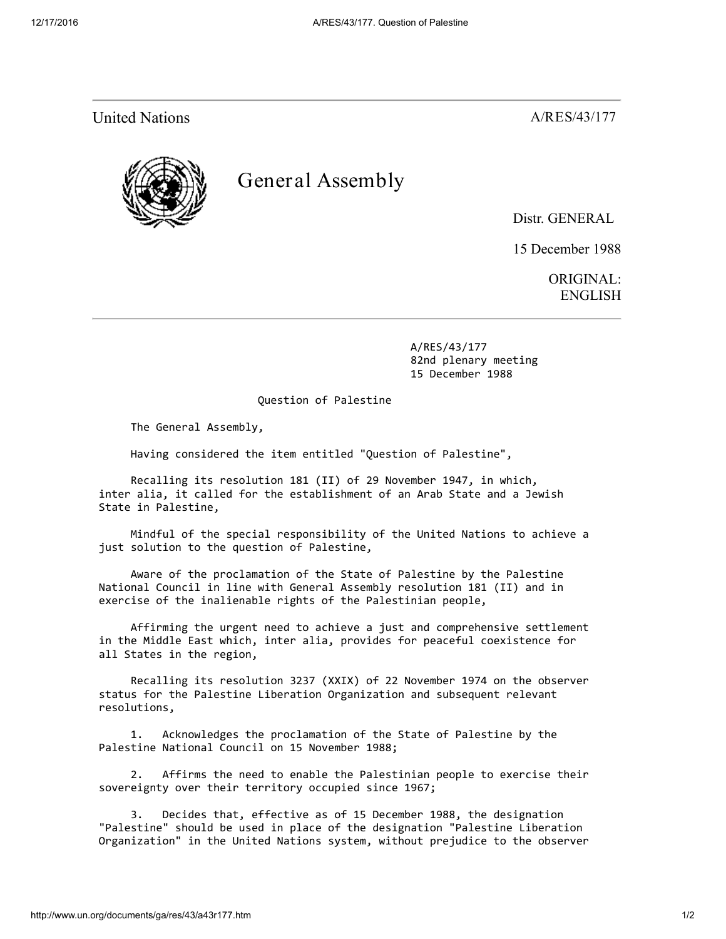United Nations **A/RES/43/177** 



## Gener al Assembly

Distr. GENERAL

15 December 1988

ORIGINAL: ENGLISH

 A/RES/43/177 82nd plenary meeting 15 December 1988

Question of Palestine

The General Assembly,

Having considered the item entitled "Question of Palestine",

 Recalling its resolution 181 (II) of 29 November 1947, in which, inter alia, it called for the establishment of an Arab State and a Jewish State in Palestine,

 Mindful of the special responsibility of the United Nations to achieve a just solution to the question of Palestine,

 Aware of the proclamation of the State of Palestine by the Palestine National Council in line with General Assembly resolution 181 (II) and in exercise of the inalienable rights of the Palestinian people,

 Affirming the urgent need to achieve a just and comprehensive settlement in the Middle East which, inter alia, provides for peaceful coexistence for all States in the region,

 Recalling its resolution 3237 (XXIX) of 22 November 1974 on the observer status for the Palestine Liberation Organization and subsequent relevant resolutions,

 1. Acknowledges the proclamation of the State of Palestine by the Palestine National Council on 15 November 1988;

 2. Affirms the need to enable the Palestinian people to exercise their sovereignty over their territory occupied since 1967;

 3. Decides that, effective as of 15 December 1988, the designation "Palestine" should be used in place of the designation "Palestine Liberation Organization" in the United Nations system, without prejudice to the observer